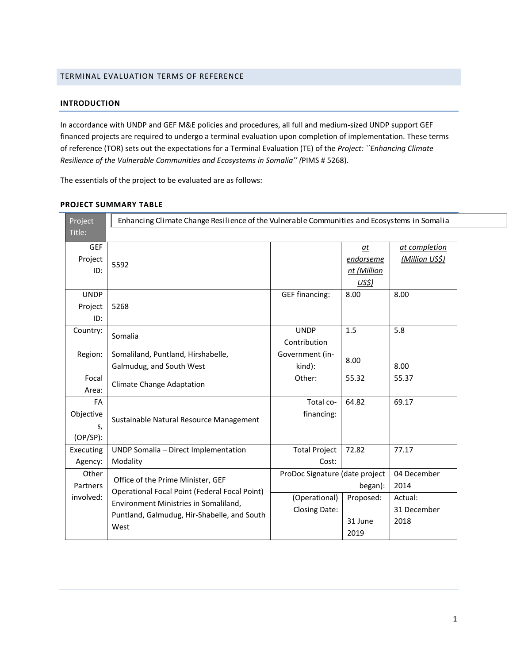# TERMINAL EVALUATION TERMS OF REFERENCE

# **INTRODUCTION**

In accordance with UNDP and GEF M&E policies and procedures, all full and medium-sized UNDP support GEF financed projects are required to undergo a terminal evaluation upon completion of implementation. These terms of reference (TOR) sets out the expectations for a Terminal Evaluation (TE) of the *Project: ``Enhancing Climate Resilience of the Vulnerable Communities and Ecosystems in Somalia'' (*PIMS # 5268).

The essentials of the project to be evaluated are as follows:

| Project                              | Enhancing Climate Change Resilience of the Vulnerable Communities and Ecosystems in Somalia |                                |                                            |                                 |  |  |  |
|--------------------------------------|---------------------------------------------------------------------------------------------|--------------------------------|--------------------------------------------|---------------------------------|--|--|--|
| Title:                               |                                                                                             |                                |                                            |                                 |  |  |  |
| <b>GEF</b><br>Project<br>ID:         | 5592                                                                                        |                                | $a$ t<br>endorseme<br>nt (Million<br>US\$) | at completion<br>(Million US\$) |  |  |  |
| <b>UNDP</b><br>Project<br>ID:        | 5268                                                                                        | <b>GEF financing:</b>          | 8.00                                       | 8.00                            |  |  |  |
| Country:                             | Somalia                                                                                     | <b>UNDP</b><br>Contribution    | 1.5                                        | 5.8                             |  |  |  |
| Region:                              | Somaliland, Puntland, Hirshabelle,<br>Galmudug, and South West                              | Government (in-<br>kind):      | 8.00                                       | 8.00                            |  |  |  |
| Focal<br>Area:                       | <b>Climate Change Adaptation</b>                                                            | Other:                         | 55.32                                      | 55.37                           |  |  |  |
| FA<br>Objective<br>s,<br>$(OP/SP)$ : | Sustainable Natural Resource Management                                                     | Total co-<br>financing:        | 64.82                                      | 69.17                           |  |  |  |
| Executing<br>Agency:                 | UNDP Somalia - Direct Implementation<br>Modality                                            | <b>Total Project</b><br>Cost:  | 72.82                                      | 77.17                           |  |  |  |
| Other<br>Partners                    | Office of the Prime Minister, GEF<br>Operational Focal Point (Federal Focal Point)          | ProDoc Signature (date project | began):                                    | 04 December<br>2014             |  |  |  |
| involved:<br>West                    | Environment Ministries in Somaliland,<br>Puntland, Galmudug, Hir-Shabelle, and South        | (Operational)<br>Closing Date: | Proposed:<br>31 June<br>2019               | Actual:<br>31 December<br>2018  |  |  |  |

# **PROJECT SUMMARY TABLE**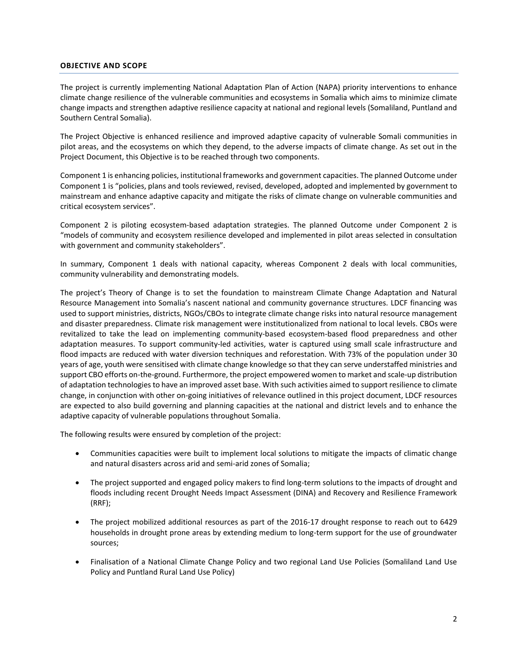### **OBJECTIVE AND SCOPE**

The project is currently implementing National Adaptation Plan of Action (NAPA) priority interventions to enhance climate change resilience of the vulnerable communities and ecosystems in Somalia which aims to minimize climate change impacts and strengthen adaptive resilience capacity at national and regional levels (Somaliland, Puntland and Southern Central Somalia).

The Project Objective is enhanced resilience and improved adaptive capacity of vulnerable Somali communities in pilot areas, and the ecosystems on which they depend, to the adverse impacts of climate change. As set out in the Project Document, this Objective is to be reached through two components.

Component 1 is enhancing policies, institutional frameworks and government capacities. The planned Outcome under Component 1 is "policies, plans and tools reviewed, revised, developed, adopted and implemented by government to mainstream and enhance adaptive capacity and mitigate the risks of climate change on vulnerable communities and critical ecosystem services".

Component 2 is piloting ecosystem-based adaptation strategies. The planned Outcome under Component 2 is "models of community and ecosystem resilience developed and implemented in pilot areas selected in consultation with government and community stakeholders".

In summary, Component 1 deals with national capacity, whereas Component 2 deals with local communities, community vulnerability and demonstrating models.

The project's Theory of Change is to set the foundation to mainstream Climate Change Adaptation and Natural Resource Management into Somalia's nascent national and community governance structures. LDCF financing was used to support ministries, districts, NGOs/CBOs to integrate climate change risks into natural resource management and disaster preparedness. Climate risk management were institutionalized from national to local levels. CBOs were revitalized to take the lead on implementing community-based ecosystem-based flood preparedness and other adaptation measures. To support community-led activities, water is captured using small scale infrastructure and flood impacts are reduced with water diversion techniques and reforestation. With 73% of the population under 30 years of age, youth were sensitised with climate change knowledge so that they can serve understaffed ministries and support CBO efforts on-the-ground. Furthermore, the project empowered women to market and scale-up distribution of adaptation technologiesto have an improved asset base. With such activities aimed to support resilience to climate change, in conjunction with other on-going initiatives of relevance outlined in this project document, LDCF resources are expected to also build governing and planning capacities at the national and district levels and to enhance the adaptive capacity of vulnerable populations throughout Somalia.

The following results were ensured by completion of the project:

- Communities capacities were built to implement local solutions to mitigate the impacts of climatic change and natural disasters across arid and semi-arid zones of Somalia;
- The project supported and engaged policy makers to find long-term solutions to the impacts of drought and floods including recent Drought Needs Impact Assessment (DINA) and Recovery and Resilience Framework (RRF);
- The project mobilized additional resources as part of the 2016-17 drought response to reach out to 6429 households in drought prone areas by extending medium to long-term support for the use of groundwater sources;
- Finalisation of a National Climate Change Policy and two regional Land Use Policies (Somaliland Land Use Policy and Puntland Rural Land Use Policy)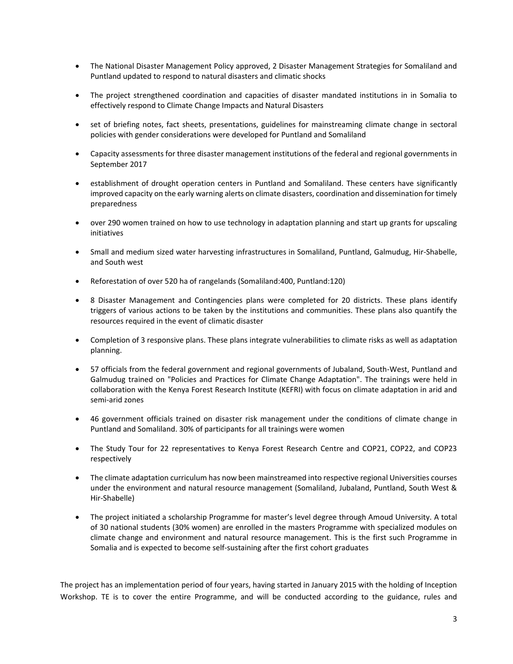- The National Disaster Management Policy approved, 2 Disaster Management Strategies for Somaliland and Puntland updated to respond to natural disasters and climatic shocks
- The project strengthened coordination and capacities of disaster mandated institutions in in Somalia to effectively respond to Climate Change Impacts and Natural Disasters
- set of briefing notes, fact sheets, presentations, guidelines for mainstreaming climate change in sectoral policies with gender considerations were developed for Puntland and Somaliland
- Capacity assessments for three disaster management institutions of the federal and regional governments in September 2017
- establishment of drought operation centers in Puntland and Somaliland. These centers have significantly improved capacity on the early warning alerts on climate disasters, coordination and dissemination for timely preparedness
- over 290 women trained on how to use technology in adaptation planning and start up grants for upscaling initiatives
- Small and medium sized water harvesting infrastructures in Somaliland, Puntland, Galmudug, Hir-Shabelle, and South west
- Reforestation of over 520 ha of rangelands (Somaliland:400, Puntland:120)
- 8 Disaster Management and Contingencies plans were completed for 20 districts. These plans identify triggers of various actions to be taken by the institutions and communities. These plans also quantify the resources required in the event of climatic disaster
- Completion of 3 responsive plans. These plans integrate vulnerabilities to climate risks as well as adaptation planning.
- 57 officials from the federal government and regional governments of Jubaland, South-West, Puntland and Galmudug trained on "Policies and Practices for Climate Change Adaptation". The trainings were held in collaboration with the Kenya Forest Research Institute (KEFRI) with focus on climate adaptation in arid and semi-arid zones
- 46 government officials trained on disaster risk management under the conditions of climate change in Puntland and Somaliland. 30% of participants for all trainings were women
- The Study Tour for 22 representatives to Kenya Forest Research Centre and COP21, COP22, and COP23 respectively
- The climate adaptation curriculum has now been mainstreamed into respective regional Universities courses under the environment and natural resource management (Somaliland, Jubaland, Puntland, South West & Hir-Shabelle)
- The project initiated a scholarship Programme for master's level degree through Amoud University. A total of 30 national students (30% women) are enrolled in the masters Programme with specialized modules on climate change and environment and natural resource management. This is the first such Programme in Somalia and is expected to become self-sustaining after the first cohort graduates

The project has an implementation period of four years, having started in January 2015 with the holding of Inception Workshop. TE is to cover the entire Programme, and will be conducted according to the guidance, rules and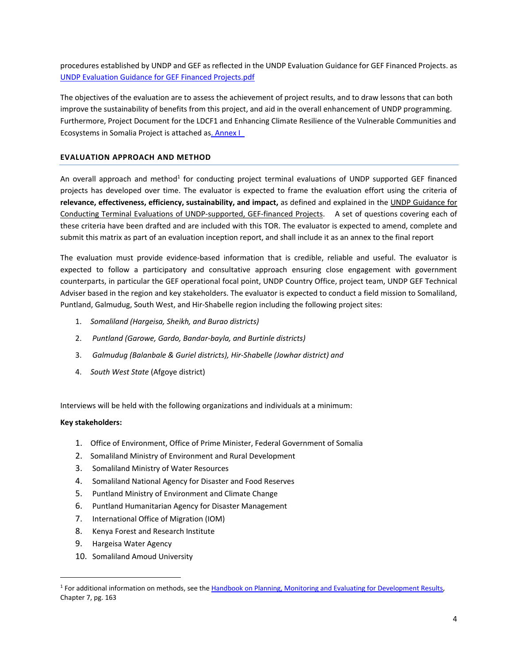procedures established by UNDP and GEF as reflected in the UNDP Evaluation Guidance for GEF Financed Projects. as [UNDP Evaluation Guidance for GEF Financed Projects.pdf](file:///C:/Users/Salah/Desktop/Cara/UNDP%20Evaluation%20Guidance%20for%20GEF%20Financed%20Projects.pdf)

The objectives of the evaluation are to assess the achievement of project results, and to draw lessons that can both improve the sustainability of benefits from this project, and aid in the overall enhancement of UNDP programming. Furthermore, Project Document for the LDCF1 and Enhancing Climate Resilience of the Vulnerable Communities and Ecosystems in Somalia Project is attached a[s. Annex I\\_](file:///C:/Users/Salah/Desktop/Cara/AnnexI_PIMS%205268%20-%20LDCF%20-%20Somalia%20-%20ProDoc_Final%20(2).pdf)

## **EVALUATION APPROACH AND METHOD**

An overall approach and method<sup>1</sup> for conducting project terminal evaluations of UNDP supported GEF financed projects has developed over time. The evaluator is expected to frame the evaluation effort using the criteria of **relevance, effectiveness, efficiency, sustainability, and impact,** as defined and explained in the UNDP Guidance for Conducting Terminal Evaluations of UNDP-supported, GEF-financed Projects. A set of questions covering each of these criteria have been drafted and are included with this TOR. The evaluator is expected to amend, complete and submit this matrix as part of an evaluation inception report, and shall include it as an annex to the final report

The evaluation must provide evidence‐based information that is credible, reliable and useful. The evaluator is expected to follow a participatory and consultative approach ensuring close engagement with government counterparts, in particular the GEF operational focal point, UNDP Country Office, project team, UNDP GEF Technical Adviser based in the region and key stakeholders. The evaluator is expected to conduct a field mission to Somaliland, Puntland, Galmudug, South West, and Hir-Shabelle region including the following project sites:

- 1. *Somaliland (Hargeisa, Sheikh, and Burao districts)*
- 2. *Puntland (Garowe, Gardo, Bandar-bayla, and Burtinle districts)*
- 3. *Galmudug (Balanbale & Guriel districts), Hir-Shabelle (Jowhar district) and*
- 4. *South West State* (Afgoye district)

Interviews will be held with the following organizations and individuals at a minimum:

## **Key stakeholders:**

 $\overline{a}$ 

- 1. Office of Environment, Office of Prime Minister, Federal Government of Somalia
- 2. Somaliland Ministry of Environment and Rural Development
- 3. Somaliland Ministry of Water Resources
- 4. Somaliland National Agency for Disaster and Food Reserves
- 5. Puntland Ministry of Environment and Climate Change
- 6. Puntland Humanitarian Agency for Disaster Management
- 7. International Office of Migration (IOM)
- 8. Kenya Forest and Research Institute
- 9. Hargeisa Water Agency
- 10. Somaliland Amoud University

<sup>&</sup>lt;sup>1</sup> For additional information on methods, see th[e Handbook on Planning, Monitoring and Evaluating for Development Results,](http://www.undp.org/evaluation/handbook) Chapter 7, pg. 163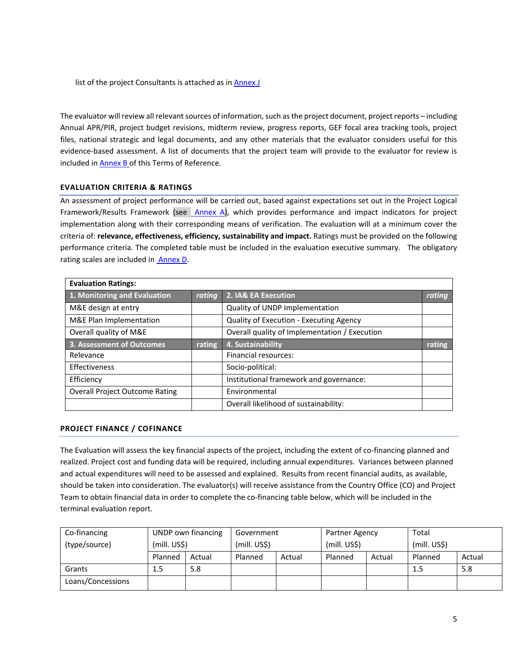list of the project Consultants is attached as in **Annex J** 

The evaluator will review all relevant sources of information, such as the project document, project reports – including Annual APR/PIR, project budget revisions, midterm review, progress reports, GEF focal area tracking tools, project files, national strategic and legal documents, and any other materials that the evaluator considers useful for this evidence-based assessment. A list of documents that the project team will provide to the evaluator for review is included in [Annex B](#page-14-0) of this Terms of Reference.

# **EVALUATION CRITERIA & RATINGS**

An assessment of project performance will be carried out, based against expectations set out in the Project Logical Framework/Results Framework (see [Annex A\)](#page-8-0), which provides performance and impact indicators for project implementation along with their corresponding means of verification. The evaluation will at a minimum cover the criteria of: **relevance, effectiveness, efficiency, sustainability and impact.** Ratings must be provided on the following performance criteria. The completed table must be included in the evaluation executive summary. The obligatory rating scales are included in [Annex D.](#page-16-0)

| <b>Evaluation Ratings:</b>            |        |                                               |        |  |  |  |
|---------------------------------------|--------|-----------------------------------------------|--------|--|--|--|
| 1. Monitoring and Evaluation          | rating | 2. IA& EA Execution                           | rating |  |  |  |
| M&E design at entry                   |        | Quality of UNDP Implementation                |        |  |  |  |
| M&E Plan Implementation               |        | Quality of Execution - Executing Agency       |        |  |  |  |
| Overall quality of M&E                |        | Overall quality of Implementation / Execution |        |  |  |  |
| 3. Assessment of Outcomes             | rating | 4. Sustainability                             | rating |  |  |  |
| Relevance                             |        | Financial resources:                          |        |  |  |  |
| Effectiveness                         |        | Socio-political:                              |        |  |  |  |
| Efficiency                            |        | Institutional framework and governance:       |        |  |  |  |
| <b>Overall Project Outcome Rating</b> |        | Environmental                                 |        |  |  |  |
|                                       |        | Overall likelihood of sustainability:         |        |  |  |  |

## **PROJECT FINANCE / COFINANCE**

The Evaluation will assess the key financial aspects of the project, including the extent of co-financing planned and realized. Project cost and funding data will be required, including annual expenditures. Variances between planned and actual expenditures will need to be assessed and explained. Results from recent financial audits, as available, should be taken into consideration. The evaluator(s) will receive assistance from the Country Office (CO) and Project Team to obtain financial data in order to complete the co-financing table below, which will be included in the terminal evaluation report.

| Co-financing      | UNDP own financing |        | Government   |        | Partner Agency |        | Total        |        |
|-------------------|--------------------|--------|--------------|--------|----------------|--------|--------------|--------|
| (type/source)     | (mill. US\$)       |        | (mill. US\$) |        | (mill. US\$)   |        | (mill. US\$) |        |
|                   | Planned            | Actual | Planned      | Actual | Planned        | Actual | Planned      | Actual |
| Grants            | 1.5                | 5.8    |              |        |                |        | 1.5          | 5.8    |
| Loans/Concessions |                    |        |              |        |                |        |              |        |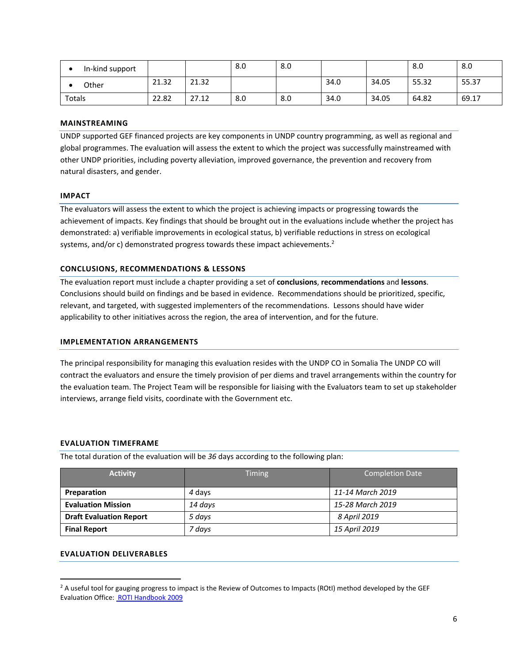| In-kind support |       |       | 8.0 | 8.0 |      |       | 8.0   | 8.0   |
|-----------------|-------|-------|-----|-----|------|-------|-------|-------|
| Other           | 21.32 | 21.32 |     |     | 34.0 | 34.05 | 55.32 | 55.37 |
| Totals          | 22.82 | 27.12 | 8.0 | 8.0 | 34.0 | 34.05 | 64.82 | 69.17 |

### **MAINSTREAMING**

UNDP supported GEF financed projects are key components in UNDP country programming, as well as regional and global programmes. The evaluation will assess the extent to which the project was successfully mainstreamed with other UNDP priorities, including poverty alleviation, improved governance, the prevention and recovery from natural disasters, and gender.

### **IMPACT**

The evaluators will assess the extent to which the project is achieving impacts or progressing towards the achievement of impacts. Key findings that should be brought out in the evaluations include whether the project has demonstrated: a) verifiable improvements in ecological status, b) verifiable reductions in stress on ecological systems, and/or c) demonstrated progress towards these impact achievements.<sup>2</sup>

## **CONCLUSIONS, RECOMMENDATIONS & LESSONS**

The evaluation report must include a chapter providing a set of **conclusions**, **recommendations** and **lessons**. Conclusions should build on findings and be based in evidence. Recommendations should be prioritized, specific, relevant, and targeted, with suggested implementers of the recommendations. Lessons should have wider applicability to other initiatives across the region, the area of intervention, and for the future.

### **IMPLEMENTATION ARRANGEMENTS**

The principal responsibility for managing this evaluation resides with the UNDP CO in Somalia The UNDP CO will contract the evaluators and ensure the timely provision of per diems and travel arrangements within the country for the evaluation team. The Project Team will be responsible for liaising with the Evaluators team to set up stakeholder interviews, arrange field visits, coordinate with the Government etc.

## **EVALUATION TIMEFRAME**

The total duration of the evaluation will be *36* days according to the following plan:

| <b>Activity</b>                | <b>Timing</b> | <b>Completion Date</b> |
|--------------------------------|---------------|------------------------|
| Preparation                    | 4 days        | 11-14 March 2019       |
| <b>Evaluation Mission</b>      | 14 days       | 15-28 March 2019       |
| <b>Draft Evaluation Report</b> | 5 days        | 8 April 2019           |
| <b>Final Report</b>            | 7 davs        | 15 April 2019          |

# **EVALUATION DELIVERABLES**

 $\overline{\phantom{a}}$ 

<sup>&</sup>lt;sup>2</sup> A useful tool for gauging progress to impact is the Review of Outcomes to Impacts (ROtI) method developed by the GEF Evaluation Office[: ROTI Handbook 2009](http://www.thegef.org/gef/sites/thegef.org/files/documents/M2_ROtI%20Handbook.pdf)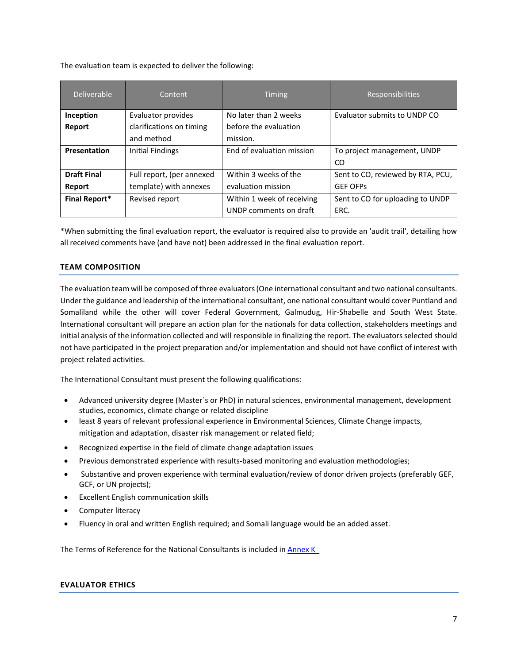The evaluation team is expected to deliver the following:

| Deliverable          | Content                   | <b>Timing</b>              | <b>Responsibilities</b>           |
|----------------------|---------------------------|----------------------------|-----------------------------------|
| Inception            | Evaluator provides        | No later than 2 weeks      | Evaluator submits to UNDP CO      |
| Report               | clarifications on timing  | before the evaluation      |                                   |
|                      | and method                | mission.                   |                                   |
| <b>Presentation</b>  | Initial Findings          | End of evaluation mission  | To project management, UNDP       |
|                      |                           |                            | CO                                |
| <b>Draft Final</b>   | Full report, (per annexed | Within 3 weeks of the      | Sent to CO, reviewed by RTA, PCU, |
| Report               | template) with annexes    | evaluation mission         | <b>GEF OFPS</b>                   |
| <b>Final Report*</b> | Revised report            | Within 1 week of receiving | Sent to CO for uploading to UNDP  |
|                      |                           | UNDP comments on draft     | ERC.                              |

\*When submitting the final evaluation report, the evaluator is required also to provide an 'audit trail', detailing how all received comments have (and have not) been addressed in the final evaluation report.

## **TEAM COMPOSITION**

The evaluation team will be composed of three evaluators (One international consultant and two national consultants. Under the guidance and leadership of the international consultant, one national consultant would cover Puntland and Somaliland while the other will cover Federal Government, Galmudug, Hir-Shabelle and South West State. International consultant will prepare an action plan for the nationals for data collection, stakeholders meetings and initial analysis of the information collected and will responsible in finalizing the report. The evaluators selected should not have participated in the project preparation and/or implementation and should not have conflict of interest with project related activities.

The International Consultant must present the following qualifications:

- Advanced university degree (Master´s or PhD) in natural sciences, environmental management, development studies, economics, climate change or related discipline
- least 8 years of relevant professional experience in Environmental Sciences, Climate Change impacts, mitigation and adaptation, disaster risk management or related field;
- Recognized expertise in the field of climate change adaptation issues
- Previous demonstrated experience with results-based monitoring and evaluation methodologies;
- Substantive and proven experience with terminal evaluation/review of donor driven projects (preferably GEF, GCF, or UN projects);
- Excellent English communication skills
- Computer literacy
- Fluency in oral and written English required; and Somali language would be an added asset.

The Terms of Reference for the National Consultants is included in **Annex K\_** 

#### **EVALUATOR ETHICS**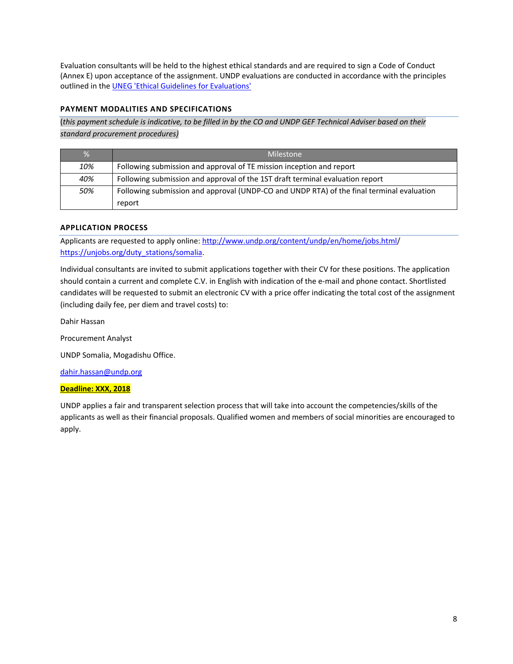Evaluation consultants will be held to the highest ethical standards and are required to sign a Code of Conduct (Annex E) upon acceptance of the assignment. UNDP evaluations are conducted in accordance with the principles outlined in the [UNEG 'Ethical Guidelines for Evaluations'](http://www.unevaluation.org/ethicalguidelines)

# **PAYMENT MODALITIES AND SPECIFICATIONS**

(*this payment schedule is indicative, to be filled in by the CO and UNDP GEF Technical Adviser based on their standard procurement procedures)*

| $\frac{9}{6}$ | Milestone                                                                                 |
|---------------|-------------------------------------------------------------------------------------------|
| 10%           | Following submission and approval of TE mission inception and report                      |
| 40%           | Following submission and approval of the 1ST draft terminal evaluation report             |
| 50%           | Following submission and approval (UNDP-CO and UNDP RTA) of the final terminal evaluation |
|               | report                                                                                    |

# **APPLICATION PROCESS**

Applicants are requested to apply online: [http://www.undp.org/content/undp/en/home/jobs.html/](http://www.undp.org/content/undp/en/home/jobs.html) [https://unjobs.org/duty\\_stations/somalia.](https://unjobs.org/duty_stations/somalia)

Individual consultants are invited to submit applications together with their CV for these positions. The application should contain a current and complete C.V. in English with indication of the e‐mail and phone contact. Shortlisted candidates will be requested to submit an electronic CV with a price offer indicating the total cost of the assignment (including daily fee, per diem and travel costs) to:

Dahir Hassan

Procurement Analyst

UNDP Somalia, Mogadishu Office.

[dahir.hassan@undp.org](mailto:dahir.hassan@undp.org)

## **Deadline: XXX, 2018**

UNDP applies a fair and transparent selection process that will take into account the competencies/skills of the applicants as well as their financial proposals. Qualified women and members of social minorities are encouraged to apply.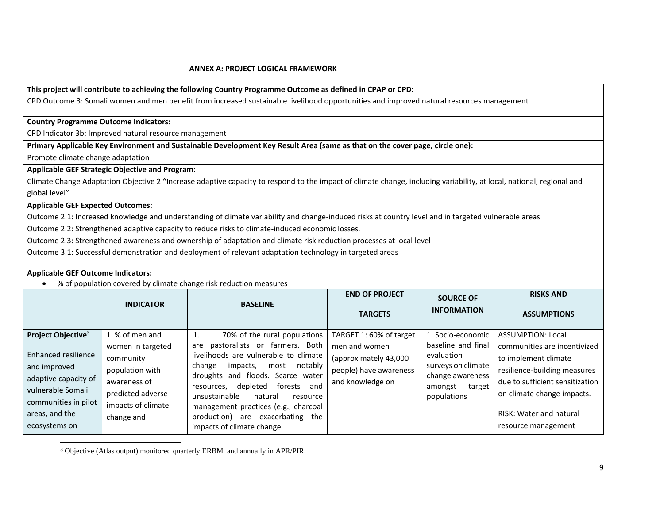#### <span id="page-8-0"></span> **ANNEX A: PROJECT LOGICAL FRAMEWORK**

**This project will contribute to achieving the following Country Programme Outcome as defined in CPAP or CPD:**  CPD Outcome 3: Somali women and men benefit from increased sustainable livelihood opportunities and improved natural resources management

#### **Country Programme Outcome Indicators:**

CPD Indicator 3b: Improved natural resource management

**Primary Applicable Key Environment and Sustainable Development Key Result Area (same as that on the cover page, circle one):**

Promote climate change adaptation

#### **Applicable GEF Strategic Objective and Program:**

Climate Change Adaptation Objective 2 **"**Increase adaptive capacity to respond to the impact of climate change, including variability, at local, national, regional and global level"

#### **Applicable GEF Expected Outcomes:**

Outcome 2.1: Increased knowledge and understanding of climate variability and change-induced risks at country level and in targeted vulnerable areas

Outcome 2.2: Strengthened adaptive capacity to reduce risks to climate-induced economic losses.

Outcome 2.3: Strengthened awareness and ownership of adaptation and climate risk reduction processes at local level

Outcome 3.1: Successful demonstration and deployment of relevant adaptation technology in targeted areas

#### **Applicable GEF Outcome Indicators:**

 $\overline{\phantom{a}}$ 

% of population covered by climate change risk reduction measures

|                                                                                                                                                                               | <b>INDICATOR</b>                                                                                                                              | <b>BASELINE</b>                                                                                                                                                                                                                                                                                                                                                                                 | <b>END OF PROJECT</b><br><b>TARGETS</b>                                                                         | <b>SOURCE OF</b><br><b>INFORMATION</b>                                                                                              | <b>RISKS AND</b><br><b>ASSUMPTIONS</b>                                                                                                                                                                                                     |
|-------------------------------------------------------------------------------------------------------------------------------------------------------------------------------|-----------------------------------------------------------------------------------------------------------------------------------------------|-------------------------------------------------------------------------------------------------------------------------------------------------------------------------------------------------------------------------------------------------------------------------------------------------------------------------------------------------------------------------------------------------|-----------------------------------------------------------------------------------------------------------------|-------------------------------------------------------------------------------------------------------------------------------------|--------------------------------------------------------------------------------------------------------------------------------------------------------------------------------------------------------------------------------------------|
| Project Objective <sup>3</sup><br>Enhanced resilience<br>and improved<br>adaptive capacity of<br>vulnerable Somali<br>communities in pilot<br>areas, and the<br>ecosystems on | 1. % of men and<br>women in targeted<br>community<br>population with<br>awareness of<br>predicted adverse<br>impacts of climate<br>change and | 70% of the rural populations<br>1.<br>pastoralists or farmers. Both<br>are<br>livelihoods are vulnerable to climate<br>notably<br>change<br>impacts,<br>most<br>droughts and floods. Scarce water<br>forests<br>and<br>depleted<br>resources.<br>unsustainable<br>natural<br>resource<br>management practices (e.g., charcoal<br>production) are exacerbating the<br>impacts of climate change. | TARGET 1: 60% of target<br>men and women<br>(approximately 43,000<br>people) have awareness<br>and knowledge on | 1. Socio-economic<br>baseline and final<br>evaluation<br>surveys on climate<br>change awareness<br>amongst<br>target<br>populations | <b>ASSUMPTION: Local</b><br>communities are incentivized<br>to implement climate<br>resilience-building measures<br>due to sufficient sensitization<br>on climate change impacts.<br><b>RISK: Water and natural</b><br>resource management |

<sup>3</sup> Objective (Atlas output) monitored quarterly ERBM and annually in APR/PIR.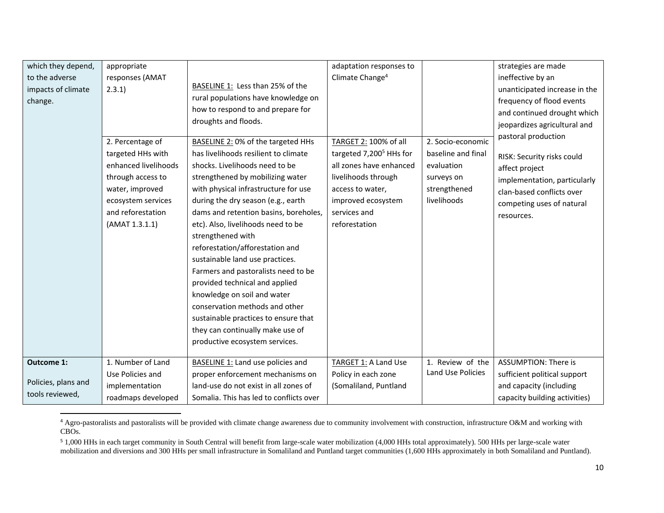| which they depend,  | appropriate          |                                         | adaptation responses to             |                    | strategies are made           |
|---------------------|----------------------|-----------------------------------------|-------------------------------------|--------------------|-------------------------------|
| to the adverse      | responses (AMAT      |                                         | Climate Change <sup>4</sup>         |                    | ineffective by an             |
| impacts of climate  | 2.3.1)               | BASELINE 1: Less than 25% of the        |                                     |                    | unanticipated increase in the |
| change.             |                      | rural populations have knowledge on     |                                     |                    | frequency of flood events     |
|                     |                      | how to respond to and prepare for       |                                     |                    | and continued drought which   |
|                     |                      | droughts and floods.                    |                                     |                    | jeopardizes agricultural and  |
|                     |                      |                                         |                                     |                    | pastoral production           |
|                     | 2. Percentage of     | BASELINE 2: 0% of the targeted HHs      | TARGET 2: 100% of all               | 2. Socio-economic  |                               |
|                     | targeted HHs with    | has livelihoods resilient to climate    | targeted 7,200 <sup>5</sup> HHs for | baseline and final | RISK: Security risks could    |
|                     | enhanced livelihoods | shocks. Livelihoods need to be          | all zones have enhanced             | evaluation         | affect project                |
|                     | through access to    | strengthened by mobilizing water        | livelihoods through                 | surveys on         | implementation, particularly  |
|                     | water, improved      | with physical infrastructure for use    | access to water,                    | strengthened       | clan-based conflicts over     |
|                     | ecosystem services   | during the dry season (e.g., earth      | improved ecosystem                  | livelihoods        | competing uses of natural     |
|                     | and reforestation    | dams and retention basins, boreholes,   | services and                        |                    | resources.                    |
|                     | (AMAT 1.3.1.1)       | etc). Also, livelihoods need to be      | reforestation                       |                    |                               |
|                     |                      | strengthened with                       |                                     |                    |                               |
|                     |                      | reforestation/afforestation and         |                                     |                    |                               |
|                     |                      | sustainable land use practices.         |                                     |                    |                               |
|                     |                      | Farmers and pastoralists need to be     |                                     |                    |                               |
|                     |                      | provided technical and applied          |                                     |                    |                               |
|                     |                      | knowledge on soil and water             |                                     |                    |                               |
|                     |                      | conservation methods and other          |                                     |                    |                               |
|                     |                      | sustainable practices to ensure that    |                                     |                    |                               |
|                     |                      | they can continually make use of        |                                     |                    |                               |
|                     |                      | productive ecosystem services.          |                                     |                    |                               |
|                     |                      |                                         |                                     |                    |                               |
| <b>Outcome 1:</b>   | 1. Number of Land    | BASELINE 1: Land use policies and       | TARGET 1: A Land Use                | 1. Review of the   | <b>ASSUMPTION: There is</b>   |
|                     | Use Policies and     | proper enforcement mechanisms on        | Policy in each zone                 | Land Use Policies  | sufficient political support  |
| Policies, plans and | implementation       | land-use do not exist in all zones of   | (Somaliland, Puntland               |                    | and capacity (including       |
| tools reviewed,     | roadmaps developed   | Somalia. This has led to conflicts over |                                     |                    | capacity building activities) |

<sup>&</sup>lt;sup>4</sup> Agro-pastoralists and pastoralists will be provided with climate change awareness due to community involvement with construction, infrastructure O&M and working with CBOs.

 $\overline{\phantom{a}}$ 

<sup>5</sup> 1,000 HHs in each target community in South Central will benefit from large-scale water mobilization (4,000 HHs total approximately). 500 HHs per large-scale water mobilization and diversions and 300 HHs per small infrastructure in Somaliland and Puntland target communities (1,600 HHs approximately in both Somaliland and Puntland).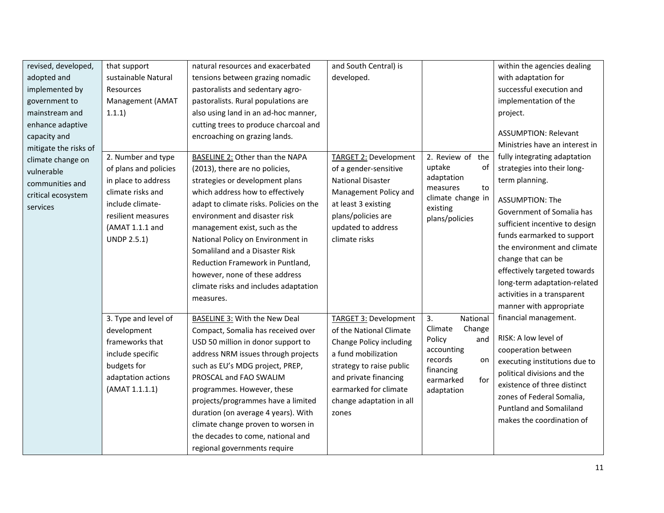| revised, developed,                                                                                                                               | that support                                                                                                                                                               | natural resources and exacerbated                                                                                                                                                                                                                                                                                                                                                                                                   | and South Central) is                                                                                                                                                                                                        |                                                                                                                                    | within the agencies dealing                                                                                                                                                                                                                                                                          |
|---------------------------------------------------------------------------------------------------------------------------------------------------|----------------------------------------------------------------------------------------------------------------------------------------------------------------------------|-------------------------------------------------------------------------------------------------------------------------------------------------------------------------------------------------------------------------------------------------------------------------------------------------------------------------------------------------------------------------------------------------------------------------------------|------------------------------------------------------------------------------------------------------------------------------------------------------------------------------------------------------------------------------|------------------------------------------------------------------------------------------------------------------------------------|------------------------------------------------------------------------------------------------------------------------------------------------------------------------------------------------------------------------------------------------------------------------------------------------------|
| adopted and                                                                                                                                       | sustainable Natural                                                                                                                                                        | tensions between grazing nomadic                                                                                                                                                                                                                                                                                                                                                                                                    | developed.                                                                                                                                                                                                                   |                                                                                                                                    | with adaptation for                                                                                                                                                                                                                                                                                  |
| implemented by                                                                                                                                    | Resources                                                                                                                                                                  | pastoralists and sedentary agro-                                                                                                                                                                                                                                                                                                                                                                                                    |                                                                                                                                                                                                                              |                                                                                                                                    | successful execution and                                                                                                                                                                                                                                                                             |
| government to                                                                                                                                     | Management (AMAT                                                                                                                                                           | pastoralists. Rural populations are                                                                                                                                                                                                                                                                                                                                                                                                 |                                                                                                                                                                                                                              |                                                                                                                                    | implementation of the                                                                                                                                                                                                                                                                                |
| mainstream and                                                                                                                                    | 1.1.1)                                                                                                                                                                     | also using land in an ad-hoc manner,                                                                                                                                                                                                                                                                                                                                                                                                |                                                                                                                                                                                                                              |                                                                                                                                    | project.                                                                                                                                                                                                                                                                                             |
| enhance adaptive<br>capacity and<br>mitigate the risks of<br>climate change on<br>vulnerable<br>communities and<br>critical ecosystem<br>services | 2. Number and type<br>of plans and policies<br>in place to address<br>climate risks and<br>include climate-<br>resilient measures<br>(AMAT 1.1.1 and<br><b>UNDP 2.5.1)</b> | cutting trees to produce charcoal and<br>encroaching on grazing lands.<br><b>BASELINE 2: Other than the NAPA</b><br>(2013), there are no policies,<br>strategies or development plans<br>which address how to effectively<br>adapt to climate risks. Policies on the<br>environment and disaster risk<br>management exist, such as the<br>National Policy on Environment in<br>Somaliland and a Disaster Risk                       | <b>TARGET 2: Development</b><br>of a gender-sensitive<br><b>National Disaster</b><br>Management Policy and<br>at least 3 existing<br>plans/policies are<br>updated to address<br>climate risks                               | 2. Review of<br>the<br>uptake<br>οf<br>adaptation<br>measures<br>to<br>climate change in<br>existing<br>plans/policies             | <b>ASSUMPTION: Relevant</b><br>Ministries have an interest in<br>fully integrating adaptation<br>strategies into their long-<br>term planning.<br><b>ASSUMPTION: The</b><br>Government of Somalia has<br>sufficient incentive to design<br>funds earmarked to support<br>the environment and climate |
|                                                                                                                                                   |                                                                                                                                                                            | Reduction Framework in Puntland,<br>however, none of these address<br>climate risks and includes adaptation<br>measures.                                                                                                                                                                                                                                                                                                            |                                                                                                                                                                                                                              |                                                                                                                                    | change that can be<br>effectively targeted towards<br>long-term adaptation-related<br>activities in a transparent<br>manner with appropriate                                                                                                                                                         |
|                                                                                                                                                   | 3. Type and level of<br>development<br>frameworks that<br>include specific<br>budgets for<br>adaptation actions<br>(AMAT 1.1.1.1)                                          | BASELINE 3: With the New Deal<br>Compact, Somalia has received over<br>USD 50 million in donor support to<br>address NRM issues through projects<br>such as EU's MDG project, PREP,<br>PROSCAL and FAO SWALIM<br>programmes. However, these<br>projects/programmes have a limited<br>duration (on average 4 years). With<br>climate change proven to worsen in<br>the decades to come, national and<br>regional governments require | <b>TARGET 3: Development</b><br>of the National Climate<br>Change Policy including<br>a fund mobilization<br>strategy to raise public<br>and private financing<br>earmarked for climate<br>change adaptation in all<br>zones | 3.<br>National<br>Climate<br>Change<br>Policy<br>and<br>accounting<br>records<br>on<br>financing<br>earmarked<br>for<br>adaptation | financial management.<br>RISK: A low level of<br>cooperation between<br>executing institutions due to<br>political divisions and the<br>existence of three distinct<br>zones of Federal Somalia,<br><b>Puntland and Somaliland</b><br>makes the coordination of                                      |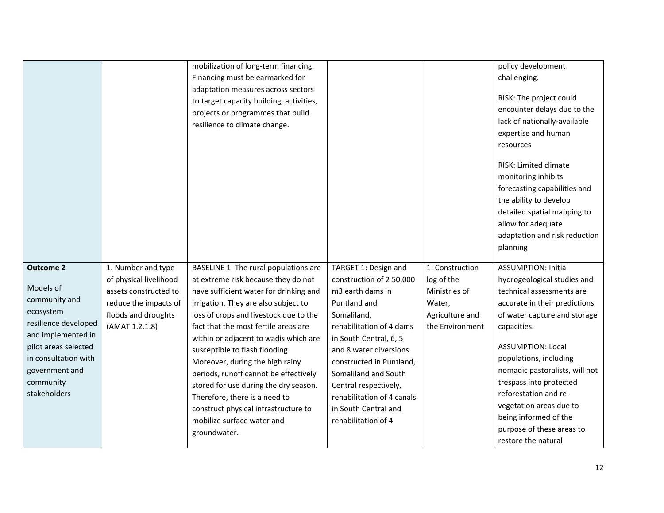|                                                                                                                                                                                                          |                                                                                                                                         | mobilization of long-term financing.<br>Financing must be earmarked for<br>adaptation measures across sectors<br>to target capacity building, activities,<br>projects or programmes that build<br>resilience to climate change.                                                                                                                                                                                                                                                                                                                         |                                                                                                                                                                                                                                                                                                                                               |                                                                                                | policy development<br>challenging.<br>RISK: The project could<br>encounter delays due to the<br>lack of nationally-available<br>expertise and human<br>resources<br>RISK: Limited climate<br>monitoring inhibits<br>forecasting capabilities and<br>the ability to develop<br>detailed spatial mapping to<br>allow for adequate<br>adaptation and risk reduction<br>planning                        |
|----------------------------------------------------------------------------------------------------------------------------------------------------------------------------------------------------------|-----------------------------------------------------------------------------------------------------------------------------------------|---------------------------------------------------------------------------------------------------------------------------------------------------------------------------------------------------------------------------------------------------------------------------------------------------------------------------------------------------------------------------------------------------------------------------------------------------------------------------------------------------------------------------------------------------------|-----------------------------------------------------------------------------------------------------------------------------------------------------------------------------------------------------------------------------------------------------------------------------------------------------------------------------------------------|------------------------------------------------------------------------------------------------|-----------------------------------------------------------------------------------------------------------------------------------------------------------------------------------------------------------------------------------------------------------------------------------------------------------------------------------------------------------------------------------------------------|
| <b>Outcome 2</b><br>Models of<br>community and<br>ecosystem<br>resilience developed<br>and implemented in<br>pilot areas selected<br>in consultation with<br>government and<br>community<br>stakeholders | 1. Number and type<br>of physical livelihood<br>assets constructed to<br>reduce the impacts of<br>floods and droughts<br>(AMAT 1.2.1.8) | BASELINE 1: The rural populations are<br>at extreme risk because they do not<br>have sufficient water for drinking and<br>irrigation. They are also subject to<br>loss of crops and livestock due to the<br>fact that the most fertile areas are<br>within or adjacent to wadis which are<br>susceptible to flash flooding.<br>Moreover, during the high rainy<br>periods, runoff cannot be effectively<br>stored for use during the dry season.<br>Therefore, there is a need to<br>construct physical infrastructure to<br>mobilize surface water and | TARGET 1: Design and<br>construction of 2 50,000<br>m3 earth dams in<br>Puntland and<br>Somaliland,<br>rehabilitation of 4 dams<br>in South Central, 6, 5<br>and 8 water diversions<br>constructed in Puntland,<br>Somaliland and South<br>Central respectively,<br>rehabilitation of 4 canals<br>in South Central and<br>rehabilitation of 4 | 1. Construction<br>log of the<br>Ministries of<br>Water,<br>Agriculture and<br>the Environment | <b>ASSUMPTION: Initial</b><br>hydrogeological studies and<br>technical assessments are<br>accurate in their predictions<br>of water capture and storage<br>capacities.<br><b>ASSUMPTION: Local</b><br>populations, including<br>nomadic pastoralists, will not<br>trespass into protected<br>reforestation and re-<br>vegetation areas due to<br>being informed of the<br>purpose of these areas to |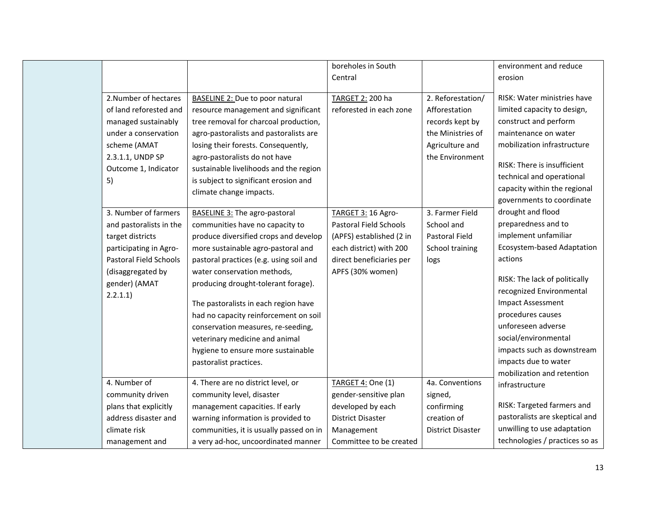|                         |                                         | boreholes in South       |                          | environment and reduce            |
|-------------------------|-----------------------------------------|--------------------------|--------------------------|-----------------------------------|
|                         |                                         | Central                  |                          | erosion                           |
|                         |                                         |                          |                          |                                   |
| 2. Number of hectares   | BASELINE 2: Due to poor natural         | TARGET 2: 200 ha         | 2. Reforestation/        | RISK: Water ministries have       |
| of land reforested and  | resource management and significant     | reforested in each zone  | Afforestation            | limited capacity to design,       |
| managed sustainably     | tree removal for charcoal production,   |                          | records kept by          | construct and perform             |
| under a conservation    | agro-pastoralists and pastoralists are  |                          | the Ministries of        | maintenance on water              |
| scheme (AMAT            | losing their forests. Consequently,     |                          | Agriculture and          | mobilization infrastructure       |
| 2.3.1.1, UNDP SP        | agro-pastoralists do not have           |                          | the Environment          |                                   |
| Outcome 1, Indicator    | sustainable livelihoods and the region  |                          |                          | RISK: There is insufficient       |
| 5)                      | is subject to significant erosion and   |                          |                          | technical and operational         |
|                         | climate change impacts.                 |                          |                          | capacity within the regional      |
|                         |                                         |                          |                          | governments to coordinate         |
| 3. Number of farmers    | BASELINE 3: The agro-pastoral           | TARGET 3: 16 Agro-       | 3. Farmer Field          | drought and flood                 |
| and pastoralists in the | communities have no capacity to         | Pastoral Field Schools   | School and               | preparedness and to               |
| target districts        | produce diversified crops and develop   | (APFS) established (2 in | Pastoral Field           | implement unfamiliar              |
| participating in Agro-  | more sustainable agro-pastoral and      | each district) with 200  | School training          | <b>Ecosystem-based Adaptation</b> |
| Pastoral Field Schools  | pastoral practices (e.g. using soil and | direct beneficiaries per | logs                     | actions                           |
| (disaggregated by       | water conservation methods,             | APFS (30% women)         |                          |                                   |
| gender) (AMAT           | producing drought-tolerant forage).     |                          |                          | RISK: The lack of politically     |
| 2.2.1.1)                |                                         |                          |                          | recognized Environmental          |
|                         | The pastoralists in each region have    |                          |                          | <b>Impact Assessment</b>          |
|                         | had no capacity reinforcement on soil   |                          |                          | procedures causes                 |
|                         | conservation measures, re-seeding,      |                          |                          | unforeseen adverse                |
|                         | veterinary medicine and animal          |                          |                          | social/environmental              |
|                         | hygiene to ensure more sustainable      |                          |                          | impacts such as downstream        |
|                         | pastoralist practices.                  |                          |                          | impacts due to water              |
|                         |                                         |                          |                          | mobilization and retention        |
| 4. Number of            | 4. There are no district level, or      | TARGET 4: One (1)        | 4a. Conventions          | infrastructure                    |
| community driven        | community level, disaster               | gender-sensitive plan    | signed,                  |                                   |
| plans that explicitly   | management capacities. If early         | developed by each        | confirming               | RISK: Targeted farmers and        |
| address disaster and    | warning information is provided to      | <b>District Disaster</b> | creation of              | pastoralists are skeptical and    |
| climate risk            | communities, it is usually passed on in | Management               | <b>District Disaster</b> | unwilling to use adaptation       |
| management and          | a very ad-hoc, uncoordinated manner     | Committee to be created  |                          | technologies / practices so as    |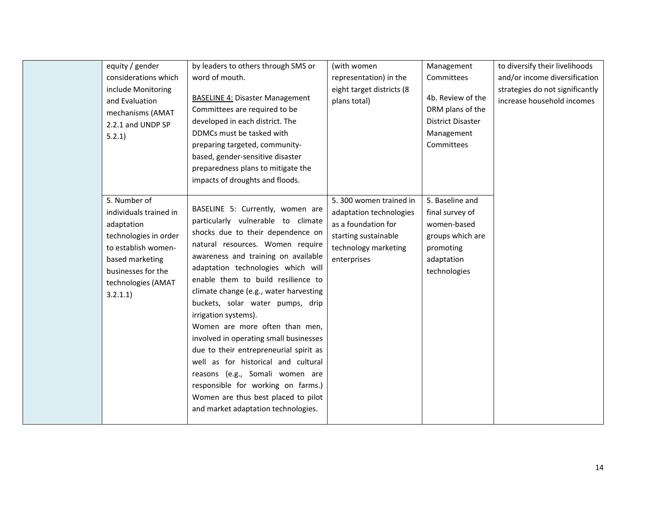| equity / gender<br>considerations which<br>include Monitoring<br>and Evaluation<br>mechanisms (AMAT<br>2.2.1 and UNDP SP<br>5.2.1                                               | by leaders to others through SMS or<br>word of mouth.<br><b>BASELINE 4: Disaster Management</b><br>Committees are required to be<br>developed in each district. The<br>DDMCs must be tasked with<br>preparing targeted, community-<br>based, gender-sensitive disaster<br>preparedness plans to mitigate the<br>impacts of droughts and floods.                                                                                                                                                                                                                                                                                                                                              | (with women<br>representation) in the<br>eight target districts (8<br>plans total)                                                      | Management<br>Committees<br>4b. Review of the<br>DRM plans of the<br><b>District Disaster</b><br>Management<br>Committees | to diversify their livelihoods<br>and/or income diversification<br>strategies do not significantly<br>increase household incomes |
|---------------------------------------------------------------------------------------------------------------------------------------------------------------------------------|----------------------------------------------------------------------------------------------------------------------------------------------------------------------------------------------------------------------------------------------------------------------------------------------------------------------------------------------------------------------------------------------------------------------------------------------------------------------------------------------------------------------------------------------------------------------------------------------------------------------------------------------------------------------------------------------|-----------------------------------------------------------------------------------------------------------------------------------------|---------------------------------------------------------------------------------------------------------------------------|----------------------------------------------------------------------------------------------------------------------------------|
| 5. Number of<br>individuals trained in<br>adaptation<br>technologies in order<br>to establish women-<br>based marketing<br>businesses for the<br>technologies (AMAT<br>3.2.1.1) | BASELINE 5: Currently, women are<br>particularly vulnerable to climate<br>shocks due to their dependence on<br>natural resources. Women require<br>awareness and training on available<br>adaptation technologies which will<br>enable them to build resilience to<br>climate change (e.g., water harvesting<br>buckets, solar water pumps, drip<br>irrigation systems).<br>Women are more often than men,<br>involved in operating small businesses<br>due to their entrepreneurial spirit as<br>well as for historical and cultural<br>reasons (e.g., Somali women are<br>responsible for working on farms.)<br>Women are thus best placed to pilot<br>and market adaptation technologies. | 5.300 women trained in<br>adaptation technologies<br>as a foundation for<br>starting sustainable<br>technology marketing<br>enterprises | 5. Baseline and<br>final survey of<br>women-based<br>groups which are<br>promoting<br>adaptation<br>technologies          |                                                                                                                                  |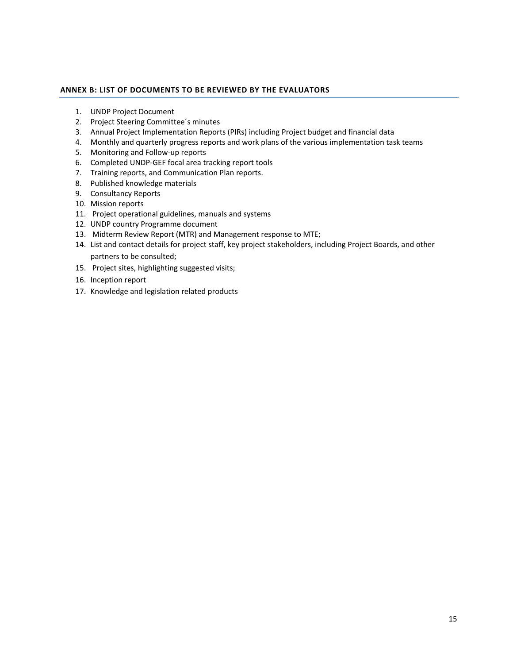### <span id="page-14-0"></span>**ANNEX B: LIST OF DOCUMENTS TO BE REVIEWED BY THE EVALUATORS**

- 1. UNDP Project Document
- 2. Project Steering Committee´s minutes
- 3. Annual Project Implementation Reports (PIRs) including Project budget and financial data
- 4. Monthly and quarterly progress reports and work plans of the various implementation task teams
- 5. Monitoring and Follow-up reports
- 6. Completed UNDP-GEF focal area tracking report tools
- 7. Training reports, and Communication Plan reports.
- 8. Published knowledge materials
- 9. Consultancy Reports
- 10. Mission reports
- 11. Project operational guidelines, manuals and systems
- 12. UNDP country Programme document
- 13. Midterm Review Report (MTR) and Management response to MTE;
- 14. List and contact details for project staff, key project stakeholders, including Project Boards, and other partners to be consulted;
- 15. Project sites, highlighting suggested visits;
- 16. Inception report
- 17. Knowledge and legislation related products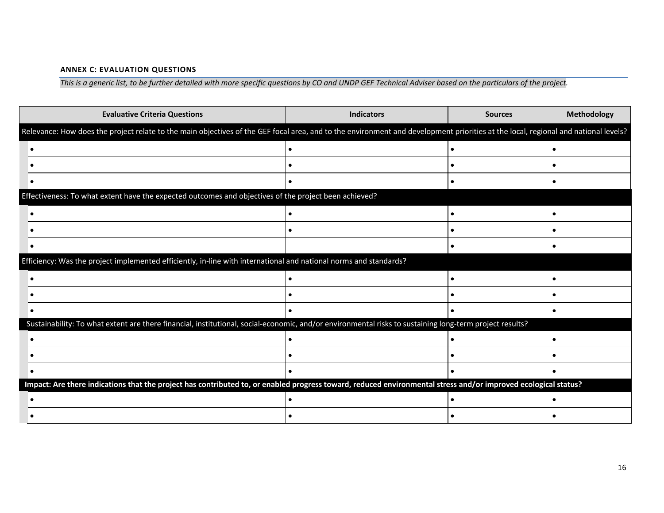# **ANNEX C: EVALUATION QUESTIONS**

*This is a generic list, to be further detailed with more specific questions by CO and UNDP GEF Technical Adviser based on the particulars of the project.*

| <b>Evaluative Criteria Questions</b>                                                                                                                                               | <b>Indicators</b> | <b>Sources</b> | Methodology |
|------------------------------------------------------------------------------------------------------------------------------------------------------------------------------------|-------------------|----------------|-------------|
| Relevance: How does the project relate to the main objectives of the GEF focal area, and to the environment and development priorities at the local, regional and national levels? |                   |                |             |
|                                                                                                                                                                                    |                   |                |             |
|                                                                                                                                                                                    |                   |                |             |
|                                                                                                                                                                                    |                   |                |             |
| Effectiveness: To what extent have the expected outcomes and objectives of the project been achieved?                                                                              |                   |                |             |
|                                                                                                                                                                                    |                   |                |             |
|                                                                                                                                                                                    |                   |                |             |
|                                                                                                                                                                                    |                   |                |             |
| Efficiency: Was the project implemented efficiently, in-line with international and national norms and standards?                                                                  |                   |                |             |
|                                                                                                                                                                                    |                   |                |             |
|                                                                                                                                                                                    |                   |                |             |
|                                                                                                                                                                                    |                   |                |             |
| Sustainability: To what extent are there financial, institutional, social-economic, and/or environmental risks to sustaining long-term project results?                            |                   |                |             |
|                                                                                                                                                                                    |                   |                |             |
|                                                                                                                                                                                    |                   |                |             |
|                                                                                                                                                                                    |                   |                |             |
| Impact: Are there indications that the project has contributed to, or enabled progress toward, reduced environmental stress and/or improved ecological status?                     |                   |                |             |
|                                                                                                                                                                                    |                   |                |             |
|                                                                                                                                                                                    |                   |                |             |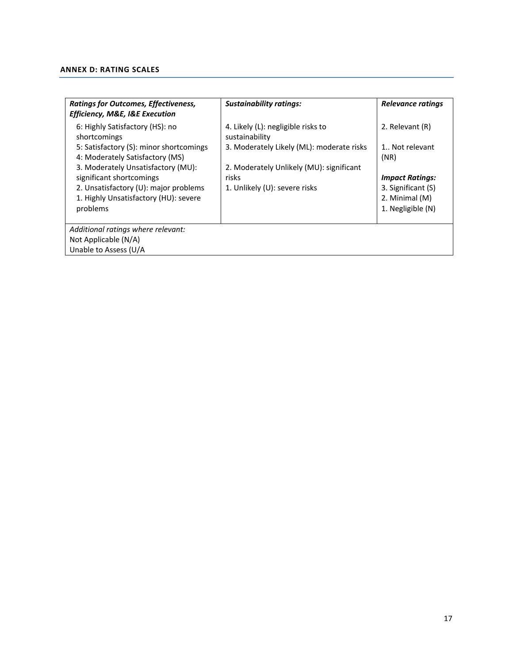# <span id="page-16-0"></span>**ANNEX D: RATING SCALES**

| <b>Ratings for Outcomes, Effectiveness,</b><br><b>Efficiency, M&amp;E, I&amp;E Execution</b> | <b>Sustainability ratings:</b>                       | Relevance ratings                   |  |  |
|----------------------------------------------------------------------------------------------|------------------------------------------------------|-------------------------------------|--|--|
| 6: Highly Satisfactory (HS): no<br>shortcomings                                              | 4. Likely (L): negligible risks to<br>sustainability | 2. Relevant (R)                     |  |  |
| 5: Satisfactory (S): minor shortcomings<br>4: Moderately Satisfactory (MS)                   | 3. Moderately Likely (ML): moderate risks            | 1 Not relevant<br>(NR)              |  |  |
| 3. Moderately Unsatisfactory (MU):<br>significant shortcomings                               | 2. Moderately Unlikely (MU): significant<br>risks    | <b>Impact Ratings:</b>              |  |  |
| 2. Unsatisfactory (U): major problems                                                        | 1. Unlikely (U): severe risks                        | 3. Significant (S)                  |  |  |
| 1. Highly Unsatisfactory (HU): severe<br>problems                                            |                                                      | 2. Minimal (M)<br>1. Negligible (N) |  |  |
| Additional ratings where relevant:                                                           |                                                      |                                     |  |  |
| Not Applicable (N/A)                                                                         |                                                      |                                     |  |  |
| Unable to Assess (U/A                                                                        |                                                      |                                     |  |  |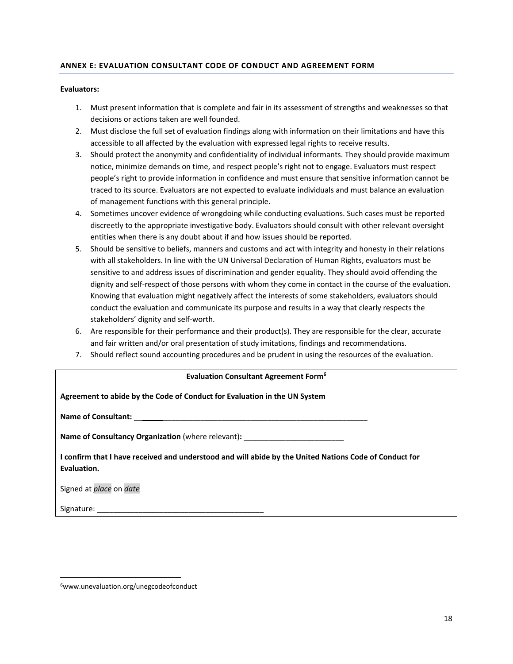# **ANNEX E: EVALUATION CONSULTANT CODE OF CONDUCT AND AGREEMENT FORM**

### **Evaluators:**

- 1. Must present information that is complete and fair in its assessment of strengths and weaknesses so that decisions or actions taken are well founded.
- 2. Must disclose the full set of evaluation findings along with information on their limitations and have this accessible to all affected by the evaluation with expressed legal rights to receive results.
- 3. Should protect the anonymity and confidentiality of individual informants. They should provide maximum notice, minimize demands on time, and respect people's right not to engage. Evaluators must respect people's right to provide information in confidence and must ensure that sensitive information cannot be traced to its source. Evaluators are not expected to evaluate individuals and must balance an evaluation of management functions with this general principle.
- 4. Sometimes uncover evidence of wrongdoing while conducting evaluations. Such cases must be reported discreetly to the appropriate investigative body. Evaluators should consult with other relevant oversight entities when there is any doubt about if and how issues should be reported.
- 5. Should be sensitive to beliefs, manners and customs and act with integrity and honesty in their relations with all stakeholders. In line with the UN Universal Declaration of Human Rights, evaluators must be sensitive to and address issues of discrimination and gender equality. They should avoid offending the dignity and self-respect of those persons with whom they come in contact in the course of the evaluation. Knowing that evaluation might negatively affect the interests of some stakeholders, evaluators should conduct the evaluation and communicate its purpose and results in a way that clearly respects the stakeholders' dignity and self-worth.
- 6. Are responsible for their performance and their product(s). They are responsible for the clear, accurate and fair written and/or oral presentation of study imitations, findings and recommendations.
- 7. Should reflect sound accounting procedures and be prudent in using the resources of the evaluation.

#### **Evaluation Consultant Agreement Form<sup>6</sup>**

| Agreement to abide by the Code of Conduct for Evaluation in the UN System                                             |
|-----------------------------------------------------------------------------------------------------------------------|
|                                                                                                                       |
| <b>Name of Consultancy Organization</b> (where relevant):                                                             |
| I confirm that I have received and understood and will abide by the United Nations Code of Conduct for<br>Evaluation. |
| Signed at place on date                                                                                               |
|                                                                                                                       |

 $\overline{a}$ 

<sup>6</sup>www.unevaluation.org/unegcodeofconduct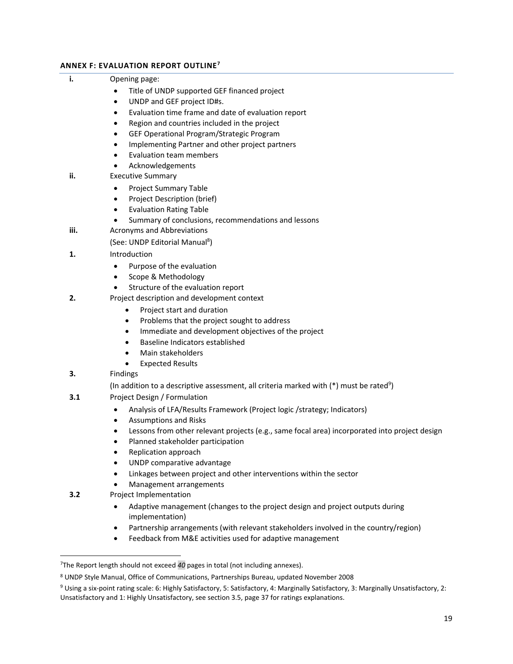# **ANNEX F: EVALUATION REPORT OUTLINE<sup>7</sup>**

| i.   | Opening page:                                                                                              |
|------|------------------------------------------------------------------------------------------------------------|
|      | Title of UNDP supported GEF financed project                                                               |
|      | UNDP and GEF project ID#s.<br>$\bullet$                                                                    |
|      | Evaluation time frame and date of evaluation report<br>$\bullet$                                           |
|      | Region and countries included in the project<br>$\bullet$                                                  |
|      | GEF Operational Program/Strategic Program<br>$\bullet$                                                     |
|      | Implementing Partner and other project partners<br>$\bullet$                                               |
|      | Evaluation team members<br>$\bullet$                                                                       |
|      | Acknowledgements<br>٠                                                                                      |
| ii.  | <b>Executive Summary</b>                                                                                   |
|      | <b>Project Summary Table</b><br>$\bullet$                                                                  |
|      | Project Description (brief)<br>$\bullet$                                                                   |
|      | <b>Evaluation Rating Table</b><br>$\bullet$                                                                |
|      | Summary of conclusions, recommendations and lessons<br>$\bullet$                                           |
| iii. | Acronyms and Abbreviations                                                                                 |
|      | (See: UNDP Editorial Manual <sup>8</sup> )                                                                 |
| 1.   | Introduction                                                                                               |
|      | Purpose of the evaluation<br>$\bullet$                                                                     |
|      | Scope & Methodology<br>$\bullet$                                                                           |
|      | Structure of the evaluation report                                                                         |
| 2.   | Project description and development context                                                                |
|      | Project start and duration<br>$\bullet$                                                                    |
|      | Problems that the project sought to address<br>$\bullet$                                                   |
|      | Immediate and development objectives of the project<br>٠                                                   |
|      | Baseline Indicators established<br>$\bullet$                                                               |
|      | Main stakeholders<br>$\bullet$                                                                             |
|      | <b>Expected Results</b>                                                                                    |
| 3.   | Findings                                                                                                   |
|      | (In addition to a descriptive assessment, all criteria marked with (*) must be rated <sup>9</sup> )        |
| 3.1  | Project Design / Formulation                                                                               |
|      | Analysis of LFA/Results Framework (Project logic /strategy; Indicators)<br>$\bullet$                       |
|      | <b>Assumptions and Risks</b><br>$\bullet$                                                                  |
|      | Lessons from other relevant projects (e.g., same focal area) incorporated into project design<br>$\bullet$ |
|      | Planned stakeholder participation<br>٠                                                                     |
|      | Replication approach                                                                                       |
|      | UNDP comparative advantage<br>$\bullet$                                                                    |
|      | Linkages between project and other interventions within the sector<br>$\bullet$                            |
| 3.2  | Management arrangements<br>Project Implementation                                                          |
|      |                                                                                                            |
|      | Adaptive management (changes to the project design and project outputs during<br>$\bullet$                 |
|      | implementation)<br>Partnership arrangements (with relevant stakeholders involved in the country/region)    |
|      | $\bullet$<br>Feedback from M&E activities used for adaptive management<br>$\bullet$                        |
|      |                                                                                                            |
|      |                                                                                                            |
|      | <sup>7</sup> The Report length should not exceed 40 pages in total (not including annexes).                |
|      | <sup>8</sup> UNDP Style Manual, Office of Communications, Partnerships Bureau, updated November 2008       |

 $^9$  Using a six-point rating scale: 6: Highly Satisfactory, 5: Satisfactory, 4: Marginally Satisfactory, 3: Marginally Unsatisfactory, 2: Unsatisfactory and 1: Highly Unsatisfactory, see section 3.5, page 37 for ratings explanations.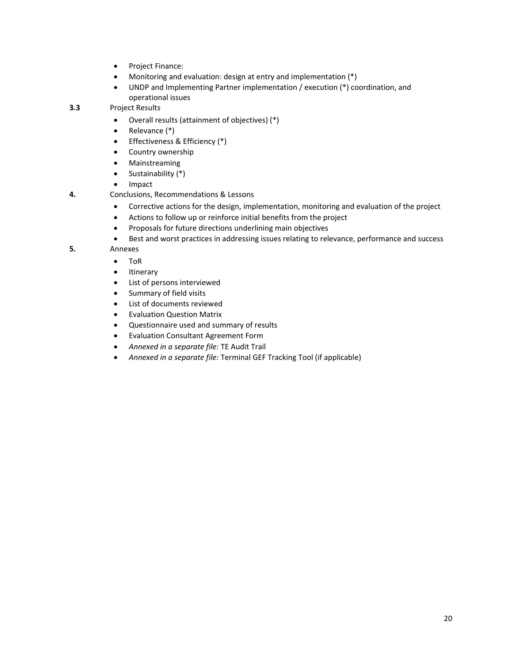- Project Finance:
- Monitoring and evaluation: design at entry and implementation (\*)
- UNDP and Implementing Partner implementation / execution (\*) coordination, and operational issues
- **3.3** Project Results
	- Overall results (attainment of objectives) (\*)
	- Relevance (\*)
	- Effectiveness & Efficiency (\*)
	- Country ownership
	- Mainstreaming
	- $\bullet$  Sustainability  $(*)$
	- Impact
- **4.** Conclusions, Recommendations & Lessons
	- Corrective actions for the design, implementation, monitoring and evaluation of the project
	- Actions to follow up or reinforce initial benefits from the project
	- Proposals for future directions underlining main objectives
	- Best and worst practices in addressing issues relating to relevance, performance and success

**5.** Annexes

- ToR
	- Itinerary
- List of persons interviewed
- Summary of field visits
- List of documents reviewed
- Evaluation Question Matrix
- Questionnaire used and summary of results
- Evaluation Consultant Agreement Form
- *Annexed in a separate file:* TE Audit Trail
- *Annexed in a separate file:* Terminal GEF Tracking Tool (if applicable)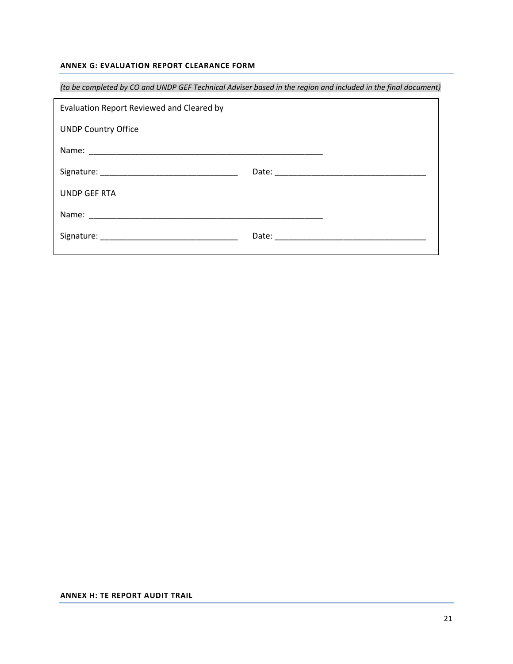# **ANNEX G: EVALUATION REPORT CLEARANCE FORM**

|                                           | (to be completed by CO and UNDP GEF Technical Adviser based in the region and included in the final document) |
|-------------------------------------------|---------------------------------------------------------------------------------------------------------------|
| Evaluation Report Reviewed and Cleared by |                                                                                                               |
| <b>UNDP Country Office</b>                |                                                                                                               |
|                                           |                                                                                                               |
|                                           |                                                                                                               |
| <b>UNDP GEF RTA</b>                       |                                                                                                               |
|                                           |                                                                                                               |
|                                           |                                                                                                               |
|                                           |                                                                                                               |